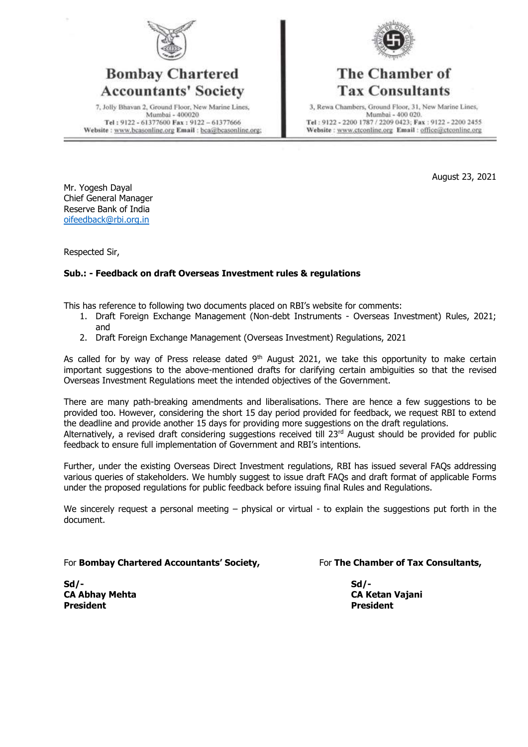

#### **Bombay Chartered Accountants' Society**

7, Jolly Bhavan 2, Ground Floor, New Marine Lines, Mumbai - 400020 Tel: 9122 - 61377600 Fax: 9122 - 61377666 Website: www.bcasonline.org Email: bca@bcasonline.org;



## The Chamber of **Tax Consultants**

3, Rewa Chambers, Ground Floor, 31, New Marine Lines, Mumbai - 400 020. Tel: 9122 - 2200 1787 / 2209 0423; Fax: 9122 - 2200 2455 Website: www.ctconline.org Email: office@ctconline.org

August 23, 2021

Mr. Yogesh Dayal Chief General Manager Reserve Bank of India [oifeedback@rbi.org.in](mailto:oifeedback@rbi.org.in)

Respected Sir,

#### **Sub.: - Feedback on draft Overseas Investment rules & regulations**

This has reference to following two documents placed on RBI's website for comments:

- 1. Draft Foreign Exchange Management (Non-debt Instruments Overseas Investment) Rules, 2021; and
- 2. Draft Foreign Exchange Management (Overseas Investment) Regulations, 2021

As called for by way of Press release dated 9<sup>th</sup> August 2021, we take this opportunity to make certain important suggestions to the above-mentioned drafts for clarifying certain ambiguities so that the revised Overseas Investment Regulations meet the intended objectives of the Government.

There are many path-breaking amendments and liberalisations. There are hence a few suggestions to be provided too. However, considering the short 15 day period provided for feedback, we request RBI to extend the deadline and provide another 15 days for providing more suggestions on the draft regulations. Alternatively, a revised draft considering suggestions received till 23<sup>rd</sup> August should be provided for public feedback to ensure full implementation of Government and RBI's intentions.

Further, under the existing Overseas Direct Investment regulations, RBI has issued several FAQs addressing various queries of stakeholders. We humbly suggest to issue draft FAQs and draft format of applicable Forms under the proposed regulations for public feedback before issuing final Rules and Regulations.

We sincerely request a personal meeting – physical or virtual - to explain the suggestions put forth in the document.

For **Bombay Chartered Accountants' Society,** For **The Chamber of Tax Consultants,** 

**Sd/- Sd/- CA Abhay Mehta CA Ketan Vajani President President**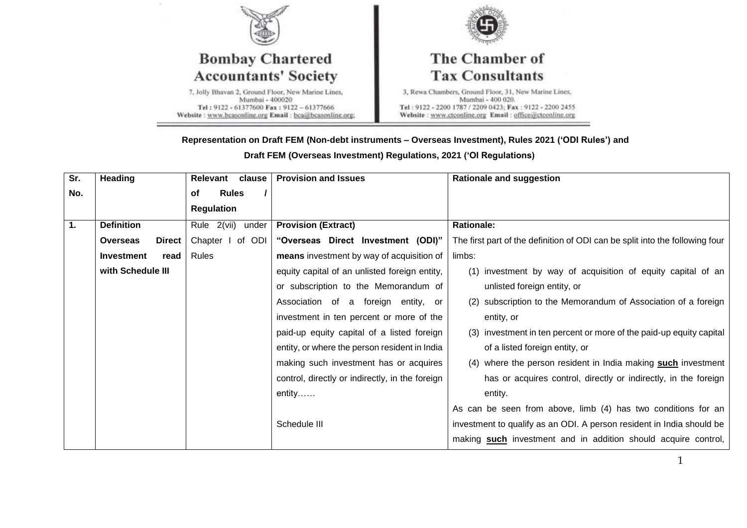

#### **Representation on Draft FEM (Non-debt instruments – Overseas Investment), Rules 2021 ('ODI Rules') and**

**Draft FEM (Overseas Investment) Regulations, 2021 ('OI Regulations)**

| $\overline{\text{Sr.}}$ | <b>Heading</b>            | clause<br>Relevant   | <b>Provision and Issues</b>                     | <b>Rationale and suggestion</b>                                              |
|-------------------------|---------------------------|----------------------|-------------------------------------------------|------------------------------------------------------------------------------|
| No.                     |                           | <b>Rules</b><br>of   |                                                 |                                                                              |
|                         |                           | <b>Regulation</b>    |                                                 |                                                                              |
| $\overline{1}$ .        | <b>Definition</b>         | Rule 2(vii)<br>under | <b>Provision (Extract)</b>                      | <b>Rationale:</b>                                                            |
|                         | <b>Overseas</b><br>Direct | Chapter I of ODI     | "Overseas Direct Investment (ODI)"              | The first part of the definition of ODI can be split into the following four |
|                         | <b>Investment</b><br>read | Rules                | means investment by way of acquisition of       | limbs:                                                                       |
|                         | with Schedule III         |                      | equity capital of an unlisted foreign entity,   | (1) investment by way of acquisition of equity capital of an                 |
|                         |                           |                      | or subscription to the Memorandum of            | unlisted foreign entity, or                                                  |
|                         |                           |                      | Association of a foreign entity, or             | (2) subscription to the Memorandum of Association of a foreign               |
|                         |                           |                      | investment in ten percent or more of the        | entity, or                                                                   |
|                         |                           |                      | paid-up equity capital of a listed foreign      | (3) investment in ten percent or more of the paid-up equity capital          |
|                         |                           |                      | entity, or where the person resident in India   | of a listed foreign entity, or                                               |
|                         |                           |                      | making such investment has or acquires          | (4) where the person resident in India making such investment                |
|                         |                           |                      | control, directly or indirectly, in the foreign | has or acquires control, directly or indirectly, in the foreign              |
|                         |                           |                      | $entity$                                        | entity.                                                                      |
|                         |                           |                      |                                                 | As can be seen from above, limb (4) has two conditions for an                |
|                         |                           |                      | Schedule III                                    | investment to qualify as an ODI. A person resident in India should be        |
|                         |                           |                      |                                                 | making such investment and in addition should acquire control,               |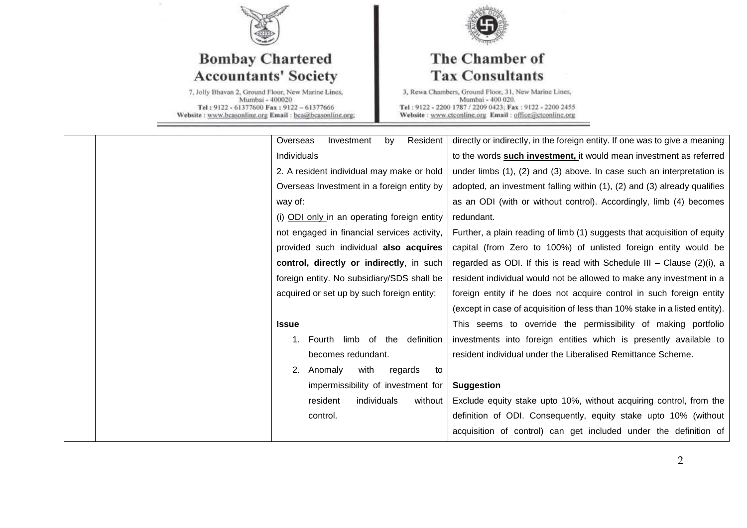

# **Bombay Chartered Accountants' Society**

7, Jolly Bhavan 2, Ground Floor, New Marine Lines,<br>Mumbai - 400020 Tel: 9122 - 61377600 Fax: 9122 - 61377666 Website: www.bcasonline.org Email: bca@bcasonline.org;



## The Chamber of **Tax Consultants**

| Resident<br>Overseas<br>Investment<br>by    | directly or indirectly, in the foreign entity. If one was to give a meaning |
|---------------------------------------------|-----------------------------------------------------------------------------|
| Individuals                                 | to the words <b>such investment</b> , it would mean investment as referred  |
| 2. A resident individual may make or hold   | under limbs (1), (2) and (3) above. In case such an interpretation is       |
| Overseas Investment in a foreign entity by  | adopted, an investment falling within (1), (2) and (3) already qualifies    |
| way of:                                     | as an ODI (with or without control). Accordingly, limb (4) becomes          |
| (i) ODI only in an operating foreign entity | redundant.                                                                  |
| not engaged in financial services activity, | Further, a plain reading of limb (1) suggests that acquisition of equity    |
| provided such individual also acquires      | capital (from Zero to 100%) of unlisted foreign entity would be             |
| control, directly or indirectly, in such    | regarded as ODI. If this is read with Schedule III - Clause $(2)(i)$ , a    |
| foreign entity. No subsidiary/SDS shall be  | resident individual would not be allowed to make any investment in a        |
| acquired or set up by such foreign entity;  | foreign entity if he does not acquire control in such foreign entity        |
|                                             | (except in case of acquisition of less than 10% stake in a listed entity).  |
| <b>Issue</b>                                | This seems to override the permissibility of making portfolio               |
| 1. Fourth limb of the definition            | investments into foreign entities which is presently available to           |
| becomes redundant.                          | resident individual under the Liberalised Remittance Scheme.                |
| with<br>2.<br>Anomaly<br>regards<br>to      |                                                                             |
| impermissibility of investment for          | <b>Suggestion</b>                                                           |
| individuals<br>resident<br>without          | Exclude equity stake upto 10%, without acquiring control, from the          |
| control.                                    | definition of ODI. Consequently, equity stake upto 10% (without             |
|                                             | acquisition of control) can get included under the definition of            |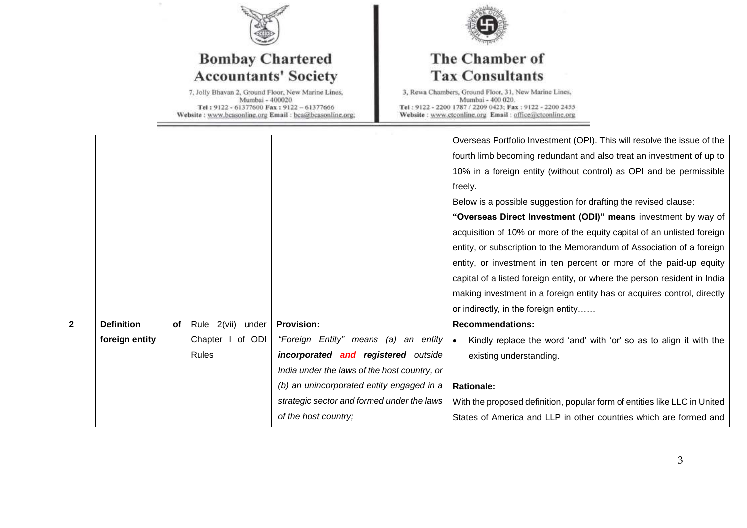

# **Bombay Chartered Accountants' Society**

7, Jolly Bhavan 2, Ground Floor, New Marine Lines,<br>Mumbai - 400020 Tel: 9122 - 61377600 Fax: 9122 - 61377666 Website: www.bcasonline.org Email: bca@bcasonline.org;



## The Chamber of **Tax Consultants**

|                         |                         |                      |                                              | Overseas Portfolio Investment (OPI). This will resolve the issue of the   |
|-------------------------|-------------------------|----------------------|----------------------------------------------|---------------------------------------------------------------------------|
|                         |                         |                      |                                              | fourth limb becoming redundant and also treat an investment of up to      |
|                         |                         |                      |                                              | 10% in a foreign entity (without control) as OPI and be permissible       |
|                         |                         |                      |                                              | freely.                                                                   |
|                         |                         |                      |                                              | Below is a possible suggestion for drafting the revised clause:           |
|                         |                         |                      |                                              | "Overseas Direct Investment (ODI)" means investment by way of             |
|                         |                         |                      |                                              | acquisition of 10% or more of the equity capital of an unlisted foreign   |
|                         |                         |                      |                                              | entity, or subscription to the Memorandum of Association of a foreign     |
|                         |                         |                      |                                              | entity, or investment in ten percent or more of the paid-up equity        |
|                         |                         |                      |                                              | capital of a listed foreign entity, or where the person resident in India |
|                         |                         |                      |                                              | making investment in a foreign entity has or acquires control, directly   |
|                         |                         |                      |                                              | or indirectly, in the foreign entity                                      |
| $\overline{\mathbf{2}}$ | <b>Definition</b><br>of | Rule 2(vii)<br>under | <b>Provision:</b>                            | <b>Recommendations:</b>                                                   |
|                         | foreign entity          | Chapter I of ODI     | "Foreign Entity" means (a)<br>an entity      | Kindly replace the word 'and' with 'or' so as to align it with the        |
|                         |                         | <b>Rules</b>         | incorporated and registered outside          | existing understanding.                                                   |
|                         |                         |                      | India under the laws of the host country, or |                                                                           |
|                         |                         |                      | (b) an unincorporated entity engaged in a    | <b>Rationale:</b>                                                         |
|                         |                         |                      | strategic sector and formed under the laws   | With the proposed definition, popular form of entities like LLC in United |
|                         |                         |                      | of the host country;                         | States of America and LLP in other countries which are formed and         |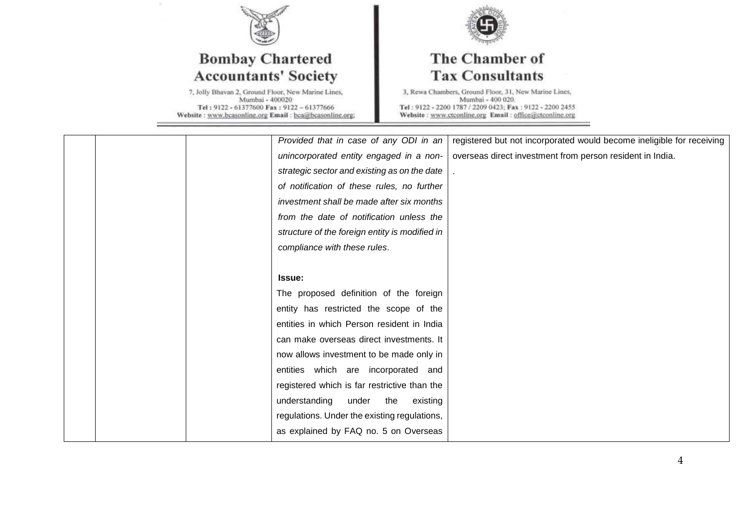

# **Bombay Chartered Accountants' Society**

7, Jolly Bhavan 2, Ground Floor, New Marine Lines,<br>Mumbai - 400020 Tel: 9122 - 61377600 Fax: 9122 - 61377666 Website: www.bcasonline.org Email: bca@bcasonline.org;



## The Chamber of **Tax Consultants**

|  | Provided that in case of any ODI in an         | registered but not incorporated would become ineligible for receiving |
|--|------------------------------------------------|-----------------------------------------------------------------------|
|  | unincorporated entity engaged in a non-        | overseas direct investment from person resident in India.             |
|  | strategic sector and existing as on the date   |                                                                       |
|  | of notification of these rules, no further     |                                                                       |
|  | investment shall be made after six months      |                                                                       |
|  | from the date of notification unless the       |                                                                       |
|  | structure of the foreign entity is modified in |                                                                       |
|  | compliance with these rules.                   |                                                                       |
|  |                                                |                                                                       |
|  | <b>Issue:</b>                                  |                                                                       |
|  | The proposed definition of the foreign         |                                                                       |
|  | entity has restricted the scope of the         |                                                                       |
|  | entities in which Person resident in India     |                                                                       |
|  | can make overseas direct investments. It       |                                                                       |
|  | now allows investment to be made only in       |                                                                       |
|  | entities which are incorporated and            |                                                                       |
|  | registered which is far restrictive than the   |                                                                       |
|  | understanding<br>under the existing            |                                                                       |
|  | regulations. Under the existing regulations,   |                                                                       |
|  | as explained by FAQ no. 5 on Overseas          |                                                                       |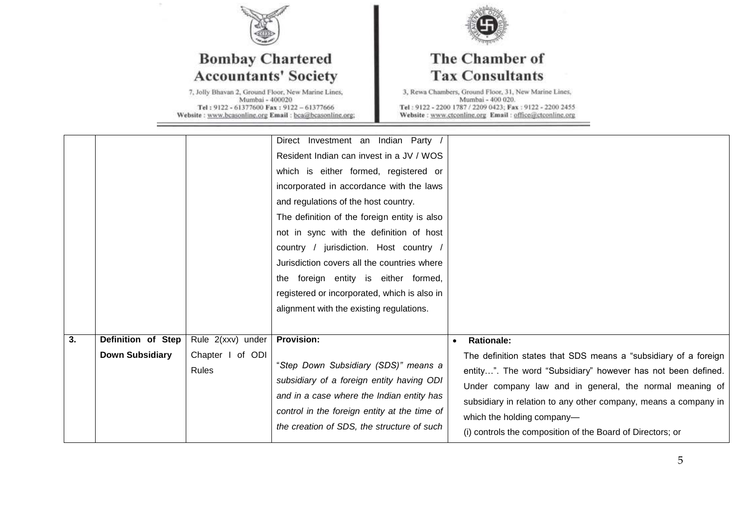

 $\alpha$ 

# **Bombay Chartered Accountants' Society**

7, Jolly Bhavan 2, Ground Floor, New Marine Lines,<br>Mumbai - 400020 Tel: 9122 - 61377600 Fax: 9122 - 61377666 Website: www.bcasonline.org Email: bca@bcasonline.org;



## The Chamber of **Tax Consultants**

|    |                                              |                                                       | Direct Investment an Indian Party<br>Resident Indian can invest in a JV / WOS<br>which is either formed, registered or<br>incorporated in accordance with the laws<br>and regulations of the host country.<br>The definition of the foreign entity is also<br>not in sync with the definition of host<br>country / jurisdiction. Host country /<br>Jurisdiction covers all the countries where<br>the foreign entity is either formed,<br>registered or incorporated, which is also in<br>alignment with the existing regulations. |                                                                                                                                                                                                                                                                                                                                                                                             |
|----|----------------------------------------------|-------------------------------------------------------|------------------------------------------------------------------------------------------------------------------------------------------------------------------------------------------------------------------------------------------------------------------------------------------------------------------------------------------------------------------------------------------------------------------------------------------------------------------------------------------------------------------------------------|---------------------------------------------------------------------------------------------------------------------------------------------------------------------------------------------------------------------------------------------------------------------------------------------------------------------------------------------------------------------------------------------|
| 3. | Definition of Step<br><b>Down Subsidiary</b> | Rule 2(xxv) under<br>Chapter I of ODI<br><b>Rules</b> | <b>Provision:</b><br>"Step Down Subsidiary (SDS)" means a<br>subsidiary of a foreign entity having ODI<br>and in a case where the Indian entity has<br>control in the foreign entity at the time of<br>the creation of SDS, the structure of such                                                                                                                                                                                                                                                                                  | <b>Rationale:</b><br>$\bullet$<br>The definition states that SDS means a "subsidiary of a foreign<br>entity". The word "Subsidiary" however has not been defined.<br>Under company law and in general, the normal meaning of<br>subsidiary in relation to any other company, means a company in<br>which the holding company-<br>(i) controls the composition of the Board of Directors; or |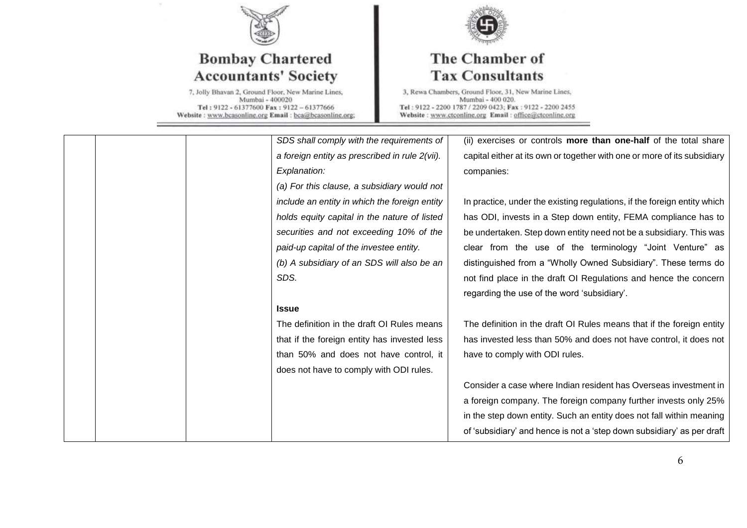

# **Bombay Chartered Accountants' Society**

7, Jolly Bhavan 2, Ground Floor, New Marine Lines,<br>Mumbai - 400020 Tel: 9122 - 61377600 Fax: 9122 - 61377666 Website: www.bcasonline.org Email: bca@bcasonline.org;



## The Chamber of **Tax Consultants**

|  | SDS shall comply with the requirements of      | (ii) exercises or controls more than one-half of the total share         |
|--|------------------------------------------------|--------------------------------------------------------------------------|
|  | a foreign entity as prescribed in rule 2(vii). | capital either at its own or together with one or more of its subsidiary |
|  | Explanation:                                   | companies:                                                               |
|  | (a) For this clause, a subsidiary would not    |                                                                          |
|  | include an entity in which the foreign entity  | In practice, under the existing regulations, if the foreign entity which |
|  | holds equity capital in the nature of listed   | has ODI, invests in a Step down entity, FEMA compliance has to           |
|  | securities and not exceeding 10% of the        | be undertaken. Step down entity need not be a subsidiary. This was       |
|  | paid-up capital of the investee entity.        | clear from the use of the terminology "Joint Venture" as                 |
|  | (b) A subsidiary of an SDS will also be an     | distinguished from a "Wholly Owned Subsidiary". These terms do           |
|  | SDS.                                           | not find place in the draft OI Regulations and hence the concern         |
|  |                                                | regarding the use of the word 'subsidiary'.                              |
|  | <b>Issue</b>                                   |                                                                          |
|  | The definition in the draft OI Rules means     | The definition in the draft OI Rules means that if the foreign entity    |
|  | that if the foreign entity has invested less   | has invested less than 50% and does not have control, it does not        |
|  | than 50% and does not have control, it         | have to comply with ODI rules.                                           |
|  | does not have to comply with ODI rules.        |                                                                          |
|  |                                                | Consider a case where Indian resident has Overseas investment in         |
|  |                                                | a foreign company. The foreign company further invests only 25%          |
|  |                                                | in the step down entity. Such an entity does not fall within meaning     |
|  |                                                | of 'subsidiary' and hence is not a 'step down subsidiary' as per draft   |
|  |                                                |                                                                          |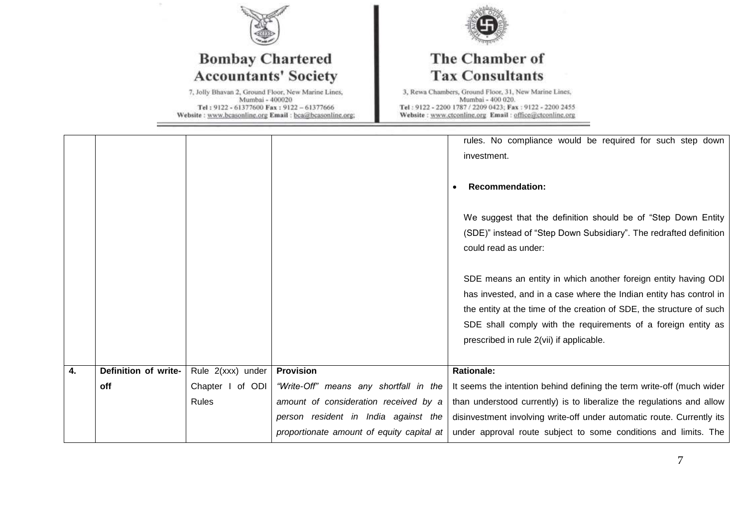

## **Bombay Chartered Accountants' Society**

7, Jolly Bhavan 2, Ground Floor, New Marine Lines,<br>Mumbai - 400020 Tel: 9122 - 61377600 Fax: 9122 - 61377666 Website: www.bcasonline.org Email: bca@bcasonline.org;



## The Chamber of **Tax Consultants**

|    |                      |                   |                                           | rules. No compliance would be required for such step down<br>investment.<br><b>Recommendation:</b><br>We suggest that the definition should be of "Step Down Entity<br>(SDE)" instead of "Step Down Subsidiary". The redrafted definition<br>could read as under:<br>SDE means an entity in which another foreign entity having ODI<br>has invested, and in a case where the Indian entity has control in<br>the entity at the time of the creation of SDE, the structure of such<br>SDE shall comply with the requirements of a foreign entity as<br>prescribed in rule 2(vii) if applicable. |
|----|----------------------|-------------------|-------------------------------------------|------------------------------------------------------------------------------------------------------------------------------------------------------------------------------------------------------------------------------------------------------------------------------------------------------------------------------------------------------------------------------------------------------------------------------------------------------------------------------------------------------------------------------------------------------------------------------------------------|
|    |                      |                   |                                           |                                                                                                                                                                                                                                                                                                                                                                                                                                                                                                                                                                                                |
| 4. | Definition of write- | Rule 2(xxx) under | <b>Provision</b>                          | <b>Rationale:</b>                                                                                                                                                                                                                                                                                                                                                                                                                                                                                                                                                                              |
|    | off                  | Chapter I of ODI  | "Write-Off" means any shortfall in the    | It seems the intention behind defining the term write-off (much wider                                                                                                                                                                                                                                                                                                                                                                                                                                                                                                                          |
|    |                      | Rules             | amount of consideration received by a     | than understood currently) is to liberalize the regulations and allow                                                                                                                                                                                                                                                                                                                                                                                                                                                                                                                          |
|    |                      |                   | person resident in India against the      | disinvestment involving write-off under automatic route. Currently its                                                                                                                                                                                                                                                                                                                                                                                                                                                                                                                         |
|    |                      |                   | proportionate amount of equity capital at | under approval route subject to some conditions and limits. The                                                                                                                                                                                                                                                                                                                                                                                                                                                                                                                                |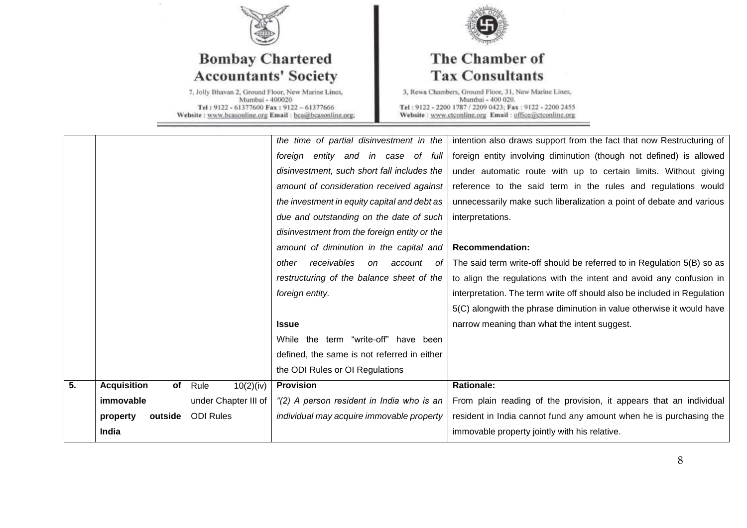

# **Bombay Chartered Accountants' Society**

7, Jolly Bhavan 2, Ground Floor, New Marine Lines,<br>Mumbai - 400020 Tel: 9122 - 61377600 Fax: 9122 - 61377666 Website: www.bcasonline.org Email: bca@bcasonline.org;



## The Chamber of **Tax Consultants**

|    | immovable<br>outside<br>property | under Chapter III of<br><b>ODI Rules</b> | "(2) A person resident in India who is an<br>individual may acquire immovable property | From plain reading of the provision, it appears that an individual<br>resident in India cannot fund any amount when he is purchasing the |
|----|----------------------------------|------------------------------------------|----------------------------------------------------------------------------------------|------------------------------------------------------------------------------------------------------------------------------------------|
| 5. | <b>Acquisition</b><br>of         | 10(2)(iv)<br>Rule                        | <b>Provision</b>                                                                       | <b>Rationale:</b>                                                                                                                        |
|    |                                  |                                          | the ODI Rules or OI Regulations                                                        |                                                                                                                                          |
|    |                                  |                                          | defined, the same is not referred in either                                            |                                                                                                                                          |
|    |                                  |                                          | While the term "write-off" have been                                                   |                                                                                                                                          |
|    |                                  |                                          | <b>Issue</b>                                                                           | narrow meaning than what the intent suggest.                                                                                             |
|    |                                  |                                          |                                                                                        | 5(C) alongwith the phrase diminution in value otherwise it would have                                                                    |
|    |                                  |                                          | foreign entity.                                                                        | interpretation. The term write off should also be included in Regulation                                                                 |
|    |                                  |                                          | restructuring of the balance sheet of the                                              | to align the regulations with the intent and avoid any confusion in                                                                      |
|    |                                  |                                          | receivables<br>on<br>account<br>other<br>- of                                          | The said term write-off should be referred to in Regulation 5(B) so as                                                                   |
|    |                                  |                                          | amount of diminution in the capital and                                                | <b>Recommendation:</b>                                                                                                                   |
|    |                                  |                                          | disinvestment from the foreign entity or the                                           |                                                                                                                                          |
|    |                                  |                                          | due and outstanding on the date of such                                                | interpretations.                                                                                                                         |
|    |                                  |                                          | the investment in equity capital and debt as                                           | unnecessarily make such liberalization a point of debate and various                                                                     |
|    |                                  |                                          | amount of consideration received against                                               | reference to the said term in the rules and regulations would                                                                            |
|    |                                  |                                          | disinvestment, such short fall includes the                                            | under automatic route with up to certain limits. Without giving                                                                          |
|    |                                  |                                          | foreign entity and in case of full                                                     | foreign entity involving diminution (though not defined) is allowed                                                                      |
|    |                                  |                                          | the time of partial disinvestment in the                                               | intention also draws support from the fact that now Restructuring of                                                                     |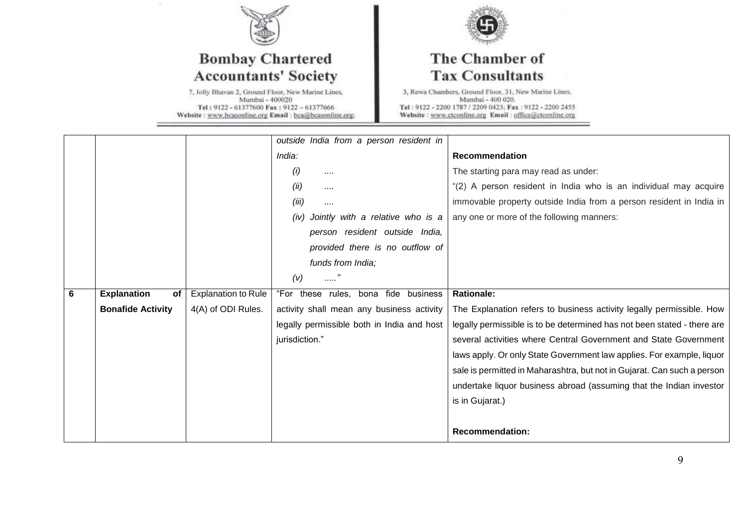

 $\alpha$ 

## **Bombay Chartered Accountants' Society**

7, Jolly Bhavan 2, Ground Floor, New Marine Lines,<br>Mumbai - 400020 Tel: 9122 - 61377600 Fax: 9122 - 61377666 Website: www.bcasonline.org Email: bca@bcasonline.org;



## The Chamber of **Tax Consultants**

|   |                          |                            | outside India from a person resident in    |                                                                         |
|---|--------------------------|----------------------------|--------------------------------------------|-------------------------------------------------------------------------|
|   |                          |                            | India:                                     | Recommendation                                                          |
|   |                          |                            | (i)<br>                                    | The starting para may read as under:                                    |
|   |                          |                            | (ii)<br>                                   | "(2) A person resident in India who is an individual may acquire        |
|   |                          |                            | (iii)<br>                                  | immovable property outside India from a person resident in India in     |
|   |                          |                            | Jointly with a relative who is a<br>(iv)   | any one or more of the following manners:                               |
|   |                          |                            | person resident outside India,             |                                                                         |
|   |                          |                            | provided there is no outflow of            |                                                                         |
|   |                          |                            | funds from India;                          |                                                                         |
|   |                          |                            | (v)<br>. 7                                 |                                                                         |
|   |                          |                            |                                            |                                                                         |
| 6 | <b>Explanation</b><br>of | <b>Explanation to Rule</b> | "For these rules, bona fide business       | <b>Rationale:</b>                                                       |
|   | <b>Bonafide Activity</b> | 4(A) of ODI Rules.         | activity shall mean any business activity  | The Explanation refers to business activity legally permissible. How    |
|   |                          |                            | legally permissible both in India and host | legally permissible is to be determined has not been stated - there are |
|   |                          |                            | jurisdiction."                             | several activities where Central Government and State Government        |
|   |                          |                            |                                            | laws apply. Or only State Government law applies. For example, liquor   |
|   |                          |                            |                                            | sale is permitted in Maharashtra, but not in Gujarat. Can such a person |
|   |                          |                            |                                            | undertake liquor business abroad (assuming that the Indian investor     |
|   |                          |                            |                                            | is in Gujarat.)                                                         |
|   |                          |                            |                                            |                                                                         |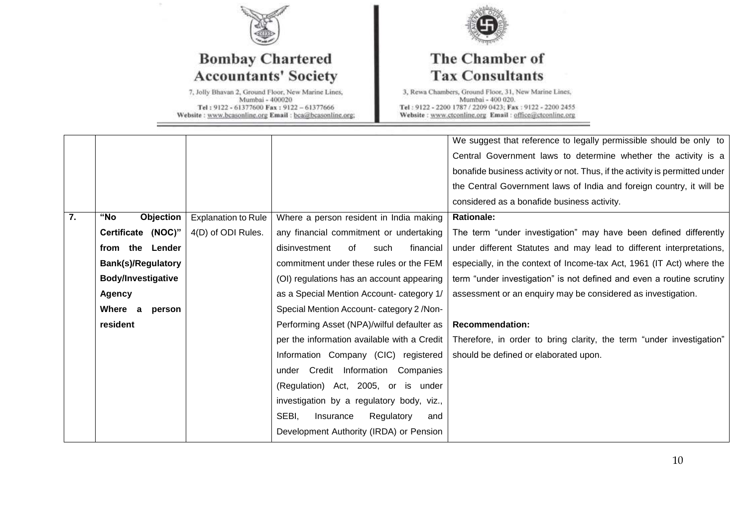

## **Bombay Chartered Accountants' Society**

7, Jolly Bhavan 2, Ground Floor, New Marine Lines,<br>Mumbai - 400020 Tel: 9122 - 61377600 Fax: 9122 - 61377666 Website: www.bcasonline.org Email: bca@bcasonline.org;



## The Chamber of **Tax Consultants**

| Central Government laws to determine whether the activity is a              |
|-----------------------------------------------------------------------------|
| bonafide business activity or not. Thus, if the activity is permitted under |
| the Central Government laws of India and foreign country, it will be        |
|                                                                             |
|                                                                             |
| The term "under investigation" may have been defined differently            |
| under different Statutes and may lead to different interpretations,         |
| especially, in the context of Income-tax Act, 1961 (IT Act) where the       |
| term "under investigation" is not defined and even a routine scrutiny       |
| assessment or an enquiry may be considered as investigation.                |
|                                                                             |
|                                                                             |
| Therefore, in order to bring clarity, the term "under investigation"        |
|                                                                             |
|                                                                             |
|                                                                             |
|                                                                             |
|                                                                             |
|                                                                             |
|                                                                             |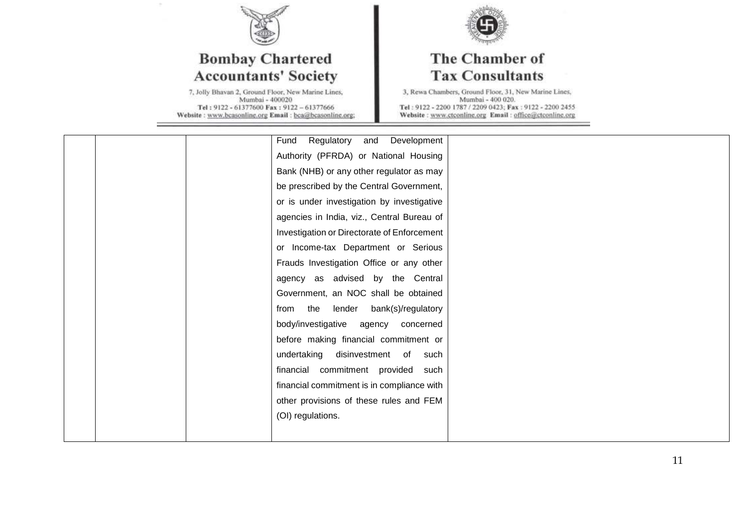

# **Bombay Chartered Accountants' Society**

7, Jolly Bhavan 2, Ground Floor, New Marine Lines,<br>Mumbai - 400020 Tel: 9122 - 61377600 Fax: 9122 - 61377666 Website: www.bcasonline.org Email: bca@bcasonline.org;



## The Chamber of **Tax Consultants**

|  | Regulatory<br>Development<br>Fund<br>and    |  |
|--|---------------------------------------------|--|
|  | Authority (PFRDA) or National Housing       |  |
|  | Bank (NHB) or any other regulator as may    |  |
|  | be prescribed by the Central Government,    |  |
|  | or is under investigation by investigative  |  |
|  | agencies in India, viz., Central Bureau of  |  |
|  | Investigation or Directorate of Enforcement |  |
|  | or Income-tax Department or Serious         |  |
|  | Frauds Investigation Office or any other    |  |
|  | agency as advised by the Central            |  |
|  | Government, an NOC shall be obtained        |  |
|  | from the<br>lender bank(s)/regulatory       |  |
|  | body/investigative agency concerned         |  |
|  | before making financial commitment or       |  |
|  | undertaking disinvestment of such           |  |
|  | financial commitment provided such          |  |
|  | financial commitment is in compliance with  |  |
|  | other provisions of these rules and FEM     |  |
|  | (OI) regulations.                           |  |
|  |                                             |  |
|  |                                             |  |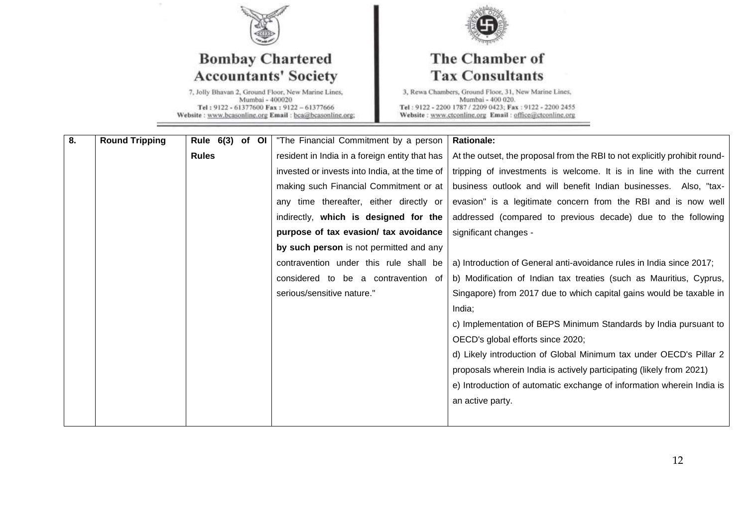

# **Bombay Chartered Accountants' Society**

7, Jolly Bhavan 2, Ground Floor, New Marine Lines,<br>Mumbai - 400020 Tel: 9122 - 61377600 Fax: 9122 - 61377666 Website: www.bcasonline.org Email: bca@bcasonline.org;



## The Chamber of **Tax Consultants**

| 8. | <b>Round Tripping</b> | Rule 6(3)    | of OI | "The Financial Commitment by a person          | <b>Rationale:</b>                                                          |
|----|-----------------------|--------------|-------|------------------------------------------------|----------------------------------------------------------------------------|
|    |                       | <b>Rules</b> |       | resident in India in a foreign entity that has | At the outset, the proposal from the RBI to not explicitly prohibit round- |
|    |                       |              |       | invested or invests into India, at the time of | tripping of investments is welcome. It is in line with the current         |
|    |                       |              |       | making such Financial Commitment or at         | business outlook and will benefit Indian businesses. Also, "tax-           |
|    |                       |              |       | any time thereafter, either directly or        | evasion" is a legitimate concern from the RBI and is now well              |
|    |                       |              |       | indirectly, which is designed for the          | addressed (compared to previous decade) due to the following               |
|    |                       |              |       | purpose of tax evasion/ tax avoidance          | significant changes -                                                      |
|    |                       |              |       | by such person is not permitted and any        |                                                                            |
|    |                       |              |       | contravention under this rule shall be         | a) Introduction of General anti-avoidance rules in India since 2017;       |
|    |                       |              |       | considered to be a contravention of            | b) Modification of Indian tax treaties (such as Mauritius, Cyprus,         |
|    |                       |              |       | serious/sensitive nature."                     | Singapore) from 2017 due to which capital gains would be taxable in        |
|    |                       |              |       |                                                | India;                                                                     |
|    |                       |              |       |                                                | c) Implementation of BEPS Minimum Standards by India pursuant to           |
|    |                       |              |       |                                                | OECD's global efforts since 2020;                                          |
|    |                       |              |       |                                                | d) Likely introduction of Global Minimum tax under OECD's Pillar 2         |
|    |                       |              |       |                                                | proposals wherein India is actively participating (likely from 2021)       |
|    |                       |              |       |                                                | e) Introduction of automatic exchange of information wherein India is      |
|    |                       |              |       |                                                | an active party.                                                           |
|    |                       |              |       |                                                |                                                                            |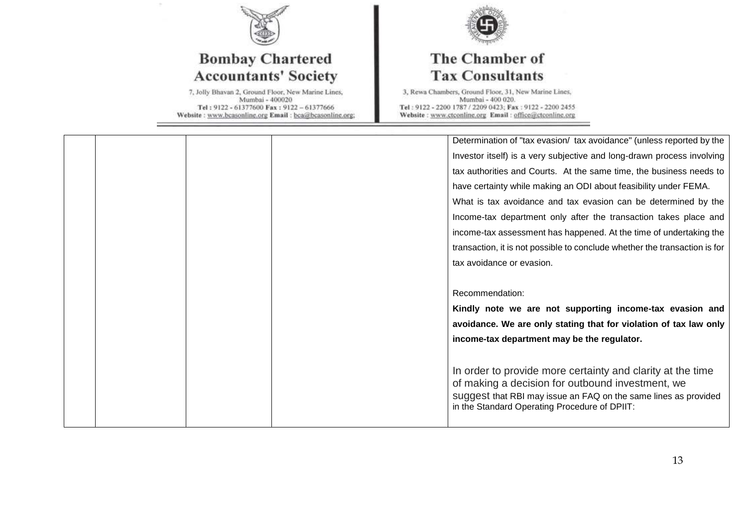

# **Bombay Chartered Accountants' Society**

7, Jolly Bhavan 2, Ground Floor, New Marine Lines,<br>Mumbai - 400020 Tel: 9122 - 61377600 Fax: 9122 - 61377666 Website: www.bcasonline.org Email: bca@bcasonline.org;



## The Chamber of **Tax Consultants**

|  | Determination of "tax evasion/ tax avoidance" (unless reported by the      |
|--|----------------------------------------------------------------------------|
|  |                                                                            |
|  | Investor itself) is a very subjective and long-drawn process involving     |
|  | tax authorities and Courts. At the same time, the business needs to        |
|  | have certainty while making an ODI about feasibility under FEMA.           |
|  | What is tax avoidance and tax evasion can be determined by the             |
|  | Income-tax department only after the transaction takes place and           |
|  | income-tax assessment has happened. At the time of undertaking the         |
|  | transaction, it is not possible to conclude whether the transaction is for |
|  | tax avoidance or evasion.                                                  |
|  |                                                                            |
|  |                                                                            |
|  | Recommendation:                                                            |
|  | Kindly note we are not supporting income-tax evasion and                   |
|  | avoidance. We are only stating that for violation of tax law only          |
|  | income-tax department may be the regulator.                                |
|  |                                                                            |
|  | In order to provide more certainty and clarity at the time                 |
|  | of making a decision for outbound investment, we                           |
|  | suggest that RBI may issue an FAQ on the same lines as provided            |
|  | in the Standard Operating Procedure of DPIIT:                              |